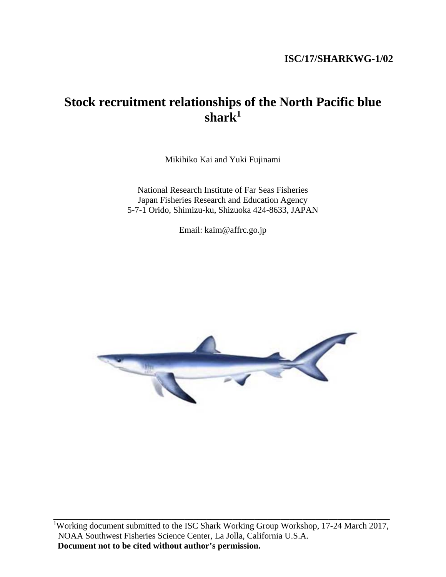# **ISC/17/SHARKWG-1/02**

# **Stock recruitment relationships of the North Pacific blue shark1**

Mikihiko Kai and Yuki Fujinami

National Research Institute of Far Seas Fisheries Japan Fisheries Research and Education Agency 5-7-1 Orido, Shimizu-ku, Shizuoka 424-8633, JAPAN

Email: kaim@affrc.go.jp



\_\_\_\_\_\_\_\_\_\_\_\_\_\_\_\_\_\_\_\_\_\_\_\_\_\_\_\_\_\_\_\_\_\_\_\_\_\_\_\_\_\_\_\_\_\_\_\_\_\_\_\_\_\_\_\_\_\_\_\_\_\_\_\_\_\_\_\_\_\_\_\_\_\_\_\_\_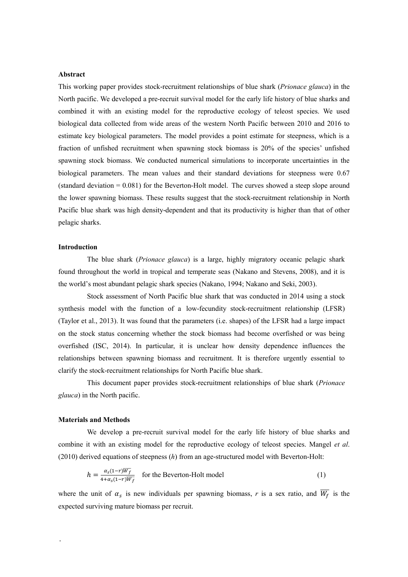### **Abstract**

This working paper provides stock-recruitment relationships of blue shark (*Prionace glauca*) in the North pacific. We developed a pre-recruit survival model for the early life history of blue sharks and combined it with an existing model for the reproductive ecology of teleost species. We used biological data collected from wide areas of the western North Pacific between 2010 and 2016 to estimate key biological parameters. The model provides a point estimate for steepness, which is a fraction of unfished recruitment when spawning stock biomass is 20% of the species' unfished spawning stock biomass. We conducted numerical simulations to incorporate uncertainties in the biological parameters. The mean values and their standard deviations for steepness were 0.67 (standard deviation = 0.081) for the Beverton-Holt model. The curves showed a steep slope around the lower spawning biomass. These results suggest that the stock-recruitment relationship in North Pacific blue shark was high density-dependent and that its productivity is higher than that of other pelagic sharks.

#### **Introduction**

The blue shark (*Prionace glauca*) is a large, highly migratory oceanic pelagic shark found throughout the world in tropical and temperate seas (Nakano and Stevens, 2008), and it is the world's most abundant pelagic shark species (Nakano, 1994; Nakano and Seki, 2003).

Stock assessment of North Pacific blue shark that was conducted in 2014 using a stock synthesis model with the function of a low-fecundity stock-recruitment relationship (LFSR) (Taylor et al., 2013). It was found that the parameters (i.e. shapes) of the LFSR had a large impact on the stock status concerning whether the stock biomass had become overfished or was being overfished (ISC, 2014). In particular, it is unclear how density dependence influences the relationships between spawning biomass and recruitment. It is therefore urgently essential to clarify the stock-recruitment relationships for North Pacific blue shark.

This document paper provides stock-recruitment relationships of blue shark (*Prionace glauca*) in the North pacific.

#### **Materials and Methods**

.

We develop a pre-recruit survival model for the early life history of blue sharks and combine it with an existing model for the reproductive ecology of teleost species. Mangel *et al*. (2010) derived equations of steepness (*h*) from an age-structured model with Beverton-Holt:

$$
h = \frac{\alpha_s (1 - r)\overline{W_f}}{4 + \alpha_s (1 - r)\overline{W_f}}
$$
 for the Beverton-Holt model (1)

where the unit of  $\alpha_s$  is new individuals per spawning biomass, r is a sex ratio, and  $\overline{W_f}$  is the expected surviving mature biomass per recruit.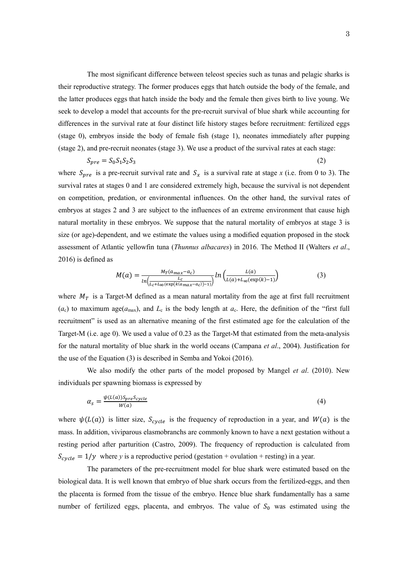The most significant difference between teleost species such as tunas and pelagic sharks is their reproductive strategy. The former produces eggs that hatch outside the body of the female, and the latter produces eggs that hatch inside the body and the female then gives birth to live young. We seek to develop a model that accounts for the pre-recruit survival of blue shark while accounting for differences in the survival rate at four distinct life history stages before recruitment: fertilized eggs (stage 0), embryos inside the body of female fish (stage 1), neonates immediately after pupping (stage 2), and pre-recruit neonates (stage 3). We use a product of the survival rates at each stage:

$$
S_{pre} = S_0 S_1 S_2 S_3 \tag{2}
$$

where  $S_{pre}$  is a pre-recruit survival rate and  $S_x$  is a survival rate at stage x (i.e. from 0 to 3). The survival rates at stages 0 and 1 are considered extremely high, because the survival is not dependent on competition, predation, or environmental influences. On the other hand, the survival rates of embryos at stages 2 and 3 are subject to the influences of an extreme environment that cause high natural mortality in these embryos. We suppose that the natural mortality of embryos at stage 3 is size (or age)-dependent, and we estimate the values using a modified equation proposed in the stock assessment of Atlantic yellowfin tuna (*Thunnus albacares*) in 2016. The Method II (Walters *et al*., 2016) is defined as

$$
M(a) = \frac{M_T(a_{max} - a_c)}{\ln\left(\frac{L_c}{L_c + L_\infty(\exp\left(k(a_{max} - a_c)\right) - 1)}\right)} ln\left(\frac{L(a)}{L(a) + L_\infty(\exp\left(k\right) - 1)}\right)
$$
(3)

where  $M_T$  is a Target-M defined as a mean natural mortality from the age at first full recruitment  $(a_c)$  to maximum age( $a_{\text{max}}$ ), and  $L_c$  is the body length at  $a_c$ . Here, the definition of the "first full recruitment" is used as an alternative meaning of the first estimated age for the calculation of the Target-M (i.e. age 0). We used a value of 0.23 as the Target-M that estimated from the meta-analysis for the natural mortality of blue shark in the world oceans (Campana *et al*., 2004). Justification for the use of the Equation (3) is described in Semba and Yokoi (2016).

We also modify the other parts of the model proposed by Mangel *et al*. (2010). New individuals per spawning biomass is expressed by

$$
\alpha_s = \frac{\psi(L(a))S_{pre}S_{cycle}}{W(a)}
$$
(4)

where  $\psi(L(a))$  is litter size,  $S_{cycle}$  is the frequency of reproduction in a year, and  $W(a)$  is the mass. In addition, viviparous elasmobranchs are commonly known to have a next gestation without a resting period after parturition (Castro, 2009). The frequency of reproduction is calculated from  $S_{cycle} = 1/y$  where *y* is a reproductive period (gestation + ovulation + resting) in a year.

The parameters of the pre-recruitment model for blue shark were estimated based on the biological data. It is well known that embryo of blue shark occurs from the fertilized-eggs, and then the placenta is formed from the tissue of the embryo. Hence blue shark fundamentally has a same number of fertilized eggs, placenta, and embryos. The value of  $S_0$  was estimated using the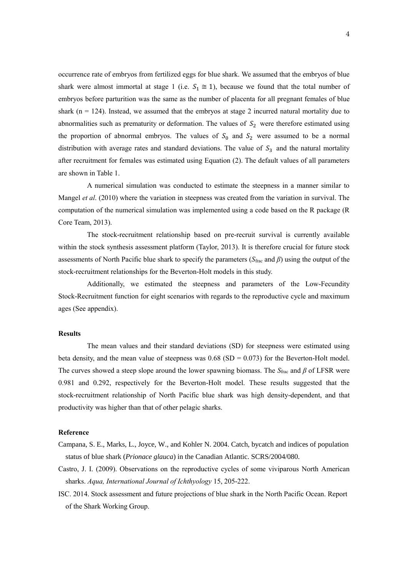occurrence rate of embryos from fertilized eggs for blue shark. We assumed that the embryos of blue shark were almost immortal at stage 1 (i.e.  $S_1 \cong 1$ ), because we found that the total number of embryos before parturition was the same as the number of placenta for all pregnant females of blue shark ( $n = 124$ ). Instead, we assumed that the embryos at stage 2 incurred natural mortality due to abnormalities such as prematurity or deformation. The values of  $S_2$  were therefore estimated using the proportion of abnormal embryos. The values of  $S_0$  and  $S_2$  were assumed to be a normal distribution with average rates and standard deviations. The value of  $S_3$  and the natural mortality after recruitment for females was estimated using Equation (2). The default values of all parameters are shown in Table 1.

A numerical simulation was conducted to estimate the steepness in a manner similar to Mangel *et al*. (2010) where the variation in steepness was created from the variation in survival. The computation of the numerical simulation was implemented using a code based on the R package (R Core Team, 2013).

The stock-recruitment relationship based on pre-recruit survival is currently available within the stock synthesis assessment platform (Taylor, 2013). It is therefore crucial for future stock assessments of North Pacific blue shark to specify the parameters (*S*frac and *β*) using the output of the stock-recruitment relationships for the Beverton-Holt models in this study.

Additionally, we estimated the steepness and parameters of the Low-Fecundity Stock-Recruitment function for eight scenarios with regards to the reproductive cycle and maximum ages (See appendix).

## **Results**

The mean values and their standard deviations (SD) for steepness were estimated using beta density, and the mean value of steepness was  $0.68$  (SD =  $0.073$ ) for the Beverton-Holt model. The curves showed a steep slope around the lower spawning biomass. The *S*frac and *β* of LFSR were 0.981 and 0.292, respectively for the Beverton-Holt model. These results suggested that the stock-recruitment relationship of North Pacific blue shark was high density-dependent, and that productivity was higher than that of other pelagic sharks.

#### **Reference**

- Campana, S. E., Marks, L., Joyce, W., and Kohler N. 2004. Catch, bycatch and indices of population status of blue shark (*Prionace glauca*) in the Canadian Atlantic. SCRS/2004/080.
- Castro, J. I. (2009). Observations on the reproductive cycles of some viviparous North American sharks. *Aqua, International Journal of Ichthyology* 15, 205-222.
- ISC. 2014. Stock assessment and future projections of blue shark in the North Pacific Ocean. Report of the Shark Working Group.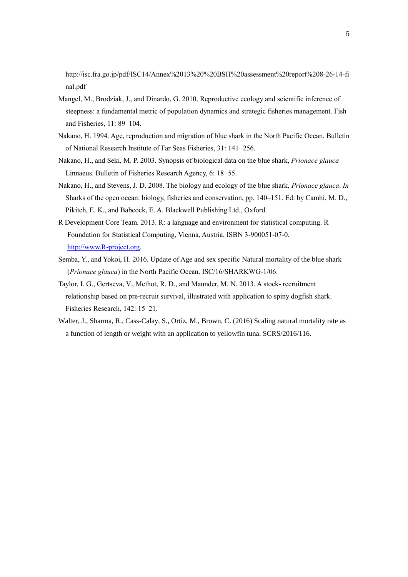http://isc.fra.go.jp/pdf/ISC14/Annex%2013%20%20BSH%20assessment%20report%208-26-14-fi nal.pdf

- Mangel, M., Brodziak, J., and Dinardo, G. 2010. Reproductive ecology and scientific inference of steepness: a fundamental metric of population dynamics and strategic fisheries management. Fish and Fisheries, 11: 89–104.
- Nakano, H. 1994. Age, reproduction and migration of blue shark in the North Pacific Ocean. Bulletin of National Research Institute of Far Seas Fisheries, 31: 141−256.
- Nakano, H., and Seki, M. P. 2003. Synopsis of biological data on the blue shark, *Prionace glauca* Linnaeus. Bulletin of Fisheries Research Agency, 6: 18−55.
- Nakano, H., and Stevens, J. D. 2008. The biology and ecology of the blue shark, *Prionace glauca*. *In* Sharks of the open ocean: biology, fisheries and conservation, pp. 140–151. Ed. by Camhi, M. D., Pikitch, E. K., and Babcock, E. A. Blackwell Publishing Ltd., Oxford.
- R Development Core Team. 2013. R: a language and environment for statistical computing. R Foundation for Statistical Computing, Vienna, Austria. ISBN 3-900051-07-0. [http://www.R-project.org.](http://www.r-project.org/)
- Semba, Y., and Yokoi, H. 2016. Update of Age and sex specific Natural mortality of the blue shark (*Prionace glauca*) in the North Pacific Ocean. ISC/16/SHARKWG-1/06.
- Taylor, I. G., Gertseva, V., Methot, R. D., and Maunder, M. N. 2013. A stock- recruitment relationship based on pre-recruit survival, illustrated with application to spiny dogfish shark. Fisheries Research, 142: 15–21.
- Walter, J., Sharma, R., Cass-Calay, S., Ortiz, M., Brown, C. (2016) Scaling natural mortality rate as a function of length or weight with an application to yellowfin tuna. SCRS/2016/116.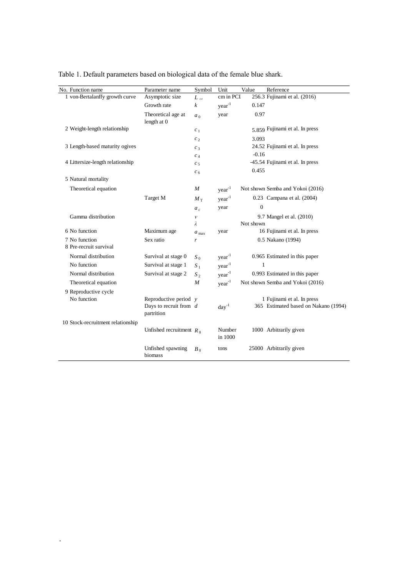| No. Function name                 | Parameter name                         | Symbol           | Unit              | Value        | Reference                            |
|-----------------------------------|----------------------------------------|------------------|-------------------|--------------|--------------------------------------|
| 1 von-Bertalanffy growth curve    | Asymptotic size                        | $L_{\infty}$     | cm in PCI         |              | 256.3 Fujinami et al. (2016)         |
|                                   | Growth rate                            | $\boldsymbol{k}$ | $year-1$          | 0.147        |                                      |
|                                   | Theoretical age at<br>length at 0      | a <sub>0</sub>   | year              | 0.97         |                                      |
| 2 Weight-length relationship      |                                        | c <sub>1</sub>   |                   |              | 5.859 Fujinami et al. In press       |
|                                   |                                        | c <sub>2</sub>   |                   | 3.093        |                                      |
| 3 Length-based maturity ogives    |                                        | $c_3$            |                   |              | 24.52 Fujinami et al. In press       |
|                                   |                                        | c <sub>4</sub>   |                   | $-0.16$      |                                      |
| 4 Littersize-length relationship  |                                        | c <sub>5</sub>   |                   |              | -45.54 Fujinami et al. In press      |
|                                   |                                        | c <sub>6</sub>   |                   | 0.455        |                                      |
| 5 Natural mortality               |                                        |                  |                   |              |                                      |
| Theoretical equation              |                                        | $\boldsymbol{M}$ | year <sup>1</sup> |              | Not shown Semba and Yokoi (2016)     |
|                                   | Target M                               | $M_{\rm T}$      | $year-1$          |              | 0.23 Campana et al. (2004)           |
|                                   |                                        | $a_c$            | year              | $\mathbf{0}$ |                                      |
| Gamma distribution                |                                        | ν                |                   |              | 9.7 Mangel et al. (2010)             |
|                                   |                                        | λ                |                   | Not shown    |                                      |
| 6 No function                     | Maximum age                            | $a_{\text{max}}$ | year              |              | 16 Fujinami et al. In press          |
| 7 No function                     | Sex ratio                              | r                |                   |              | 0.5 Nakano (1994)                    |
| 8 Pre-recruit survival            |                                        |                  |                   |              |                                      |
| Normal distribution               | Survival at stage 0                    | $S_0$            | $year-1$          |              | 0.965 Estimated in this paper        |
| No function                       | Survival at stage 1                    | $S_1$            | year <sup>1</sup> | $\mathbf{1}$ |                                      |
| Normal distribution               | Survival at stage 2                    | $S_2$            | $year-1$          |              | 0.993 Estimated in this paper        |
| Theoretical equation              |                                        | $\boldsymbol{M}$ | $year-1$          |              | Not shown Semba and Yokoi (2016)     |
| 9 Reproductive cycle              |                                        |                  |                   |              |                                      |
| No function                       | Reproductive period $y$                |                  |                   |              | 1 Fujinami et al. In press           |
|                                   | Days to recruit from $d$<br>partrition |                  | $day^{-1}$        |              | 365 Estimated based on Nakano (1994) |
| 10 Stock-recruitment relationship |                                        |                  |                   |              |                                      |
|                                   | Unfished recruitment $R_0$             |                  | Number<br>in 1000 |              | 1000 Arbitrarily given               |
|                                   | Unfished spawning<br>biomass           | $B_0$            | tons              |              | 25000 Arbitrarily given              |

Table 1. Default parameters based on biological data of the female blue shark.

.